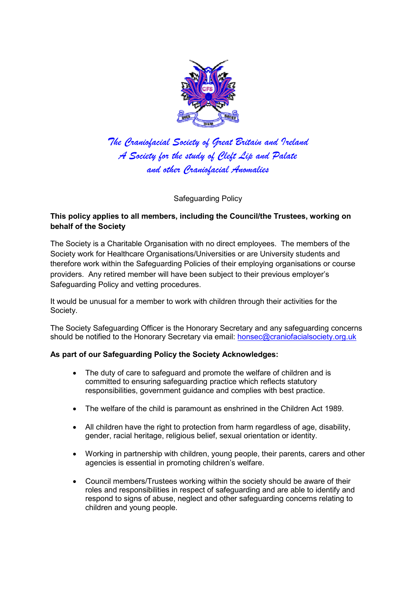

*The Craniofacial Society of Great Britain and Ireland A Society for the study of Cleft Lip and Palate and other Craniofacial Anomalies* 

Safeguarding Policy

## **This policy applies to all members, including the Council/the Trustees, working on behalf of the Society**

The Society is a Charitable Organisation with no direct employees. The members of the Society work for Healthcare Organisations/Universities or are University students and therefore work within the Safeguarding Policies of their employing organisations or course providers. Any retired member will have been subject to their previous employer's Safeguarding Policy and vetting procedures.

It would be unusual for a member to work with children through their activities for the Society.

The Society Safeguarding Officer is the Honorary Secretary and any safeguarding concerns should be notified to the Honorary Secretary via email: honsec@craniofacialsociety.org.uk

## **As part of our Safeguarding Policy the Society Acknowledges:**

- The duty of care to safeguard and promote the welfare of children and is committed to ensuring safeguarding practice which reflects statutory responsibilities, government guidance and complies with best practice.
- The welfare of the child is paramount as enshrined in the Children Act 1989.
- All children have the right to protection from harm regardless of age, disability, gender, racial heritage, religious belief, sexual orientation or identity.
- Working in partnership with children, young people, their parents, carers and other agencies is essential in promoting children's welfare.
- Council members/Trustees working within the society should be aware of their roles and responsibilities in respect of safeguarding and are able to identify and respond to signs of abuse, neglect and other safeguarding concerns relating to children and young people.